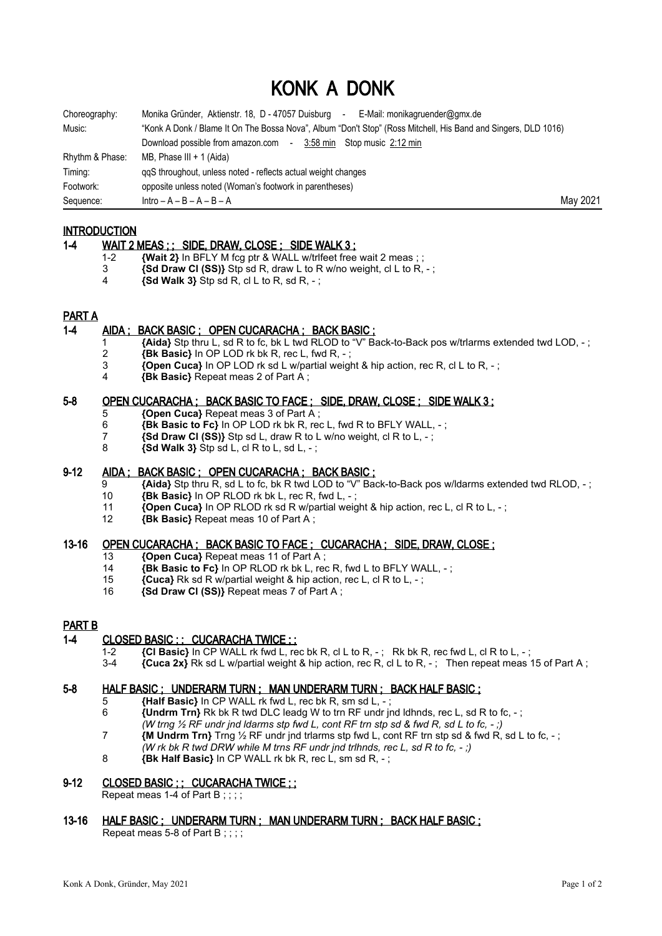# KONK A DONK

| Choreography:   | Monika Gründer, Aktienstr. 18, D - 47057 Duisburg -<br>E-Mail: monikagruender@gmx.de                           |          |
|-----------------|----------------------------------------------------------------------------------------------------------------|----------|
| Music:          | "Konk A Donk / Blame It On The Bossa Nova", Album "Don't Stop" (Ross Mitchell, His Band and Singers, DLD 1016) |          |
|                 | Download possible from amazon.com - 3:58 min Stop music 2:12 min                                               |          |
| Rhythm & Phase: | MB, Phase III + 1 (Aida)                                                                                       |          |
| Timing:         | ggS throughout, unless noted - reflects actual weight changes                                                  |          |
| Footwork:       | opposite unless noted (Woman's footwork in parentheses)                                                        |          |
| Sequence:       | $Intro - A - B - A - B - A$                                                                                    | May 2021 |

## **INTRODUCTION**

#### 1-4 WAIT 2 MEAS ; ; SIDE, DRAW, CLOSE ; SIDE WALK 3 ;

- 1-2 **{Wait 2}** In BFLY M fcg ptr & WALL w/trifeet free wait 2 meas ; ;
- 3 **{Sd Draw Cl (SS)}** Stp sd R, draw L to R w/no weight, cl L to R, ;
- 4 **{Sd Walk 3}** Stp sd R, cl L to R, sd R, ;

## PART A

### 1-4 AIDA ; BACK BASIC ; OPEN CUCARACHA ; BACK BASIC ;

- 1 **{Aida}** Stp thru L, sd R to fc, bk L twd RLOD to "V" Back-to-Back pos w/trlarms extended twd LOD, ;
- 2 **{Bk Basic}** In OP LOD rk bk R, rec L, fwd R, ;
- 3 **{Open Cuca}** In OP LOD rk sd L w/partial weight & hip action, rec R, cl L to R, ;
- 4 **{Bk Basic}** Repeat meas 2 of Part A ;

### 5-8 OPEN CUCARACHA ; BACK BASIC TO FACE ; SIDE, DRAW, CLOSE ; SIDE WALK 3 ;

- 5 **{Open Cuca}** Repeat meas 3 of Part A ;
- 6 **{Bk Basic to Fc}** In OP LOD rk bk R, rec L, fwd R to BFLY WALL, ;
- 7 **{Sd Draw Cl (SS)}** Stp sd L, draw R to L w/no weight, cl R to L, ;
- 8 **{Sd Walk 3}** Stp sd L, cl R to L, sd L, ;

#### 9-12 AIDA ; BACK BASIC ; OPEN CUCARACHA ; BACK BASIC ;

- 9 **{Aida}** Stp thru R, sd L to fc, bk R twd LOD to "V" Back-to-Back pos w/ldarms extended twd RLOD, ;
- 10 **{Bk Basic}** In OP RLOD rk bk L, rec R, fwd L, ;
- 11 **{Open Cuca}** In OP RLOD rk sd R w/partial weight & hip action, rec L, cl R to L, -;<br>12 **{Bk Basic}** Repeat meas 10 of Part A :
- 12 **{Bk Basic}** Repeat meas 10 of Part A ;

## 13-16 OPEN CUCARACHA ; BACK BASIC TO FACE ; CUCARACHA : SIDE, DRAW, CLOSE ;

- 13 **{Open Cuca}** Repeat meas 11 of Part A ;
- 14 **{Bk Basic to Fc}** In OP RLOD rk bk L, rec R, fwd L to BFLY WALL, ;
- 15 **{Cuca}** Rk sd R w/partial weight & hip action, rec L, cl R to L, ;
- 16 **{Sd Draw Cl (SS)}** Repeat meas 7 of Part A ;

#### PART B

## 1-4 CLOSED BASIC :: CUCARACHA TWICE ::

- 
- 1-2 **{CI Basic}** In CP WALL rk fwd L, rec bk R, cl L to R, -; Rk bk R, rec fwd L, cl R to L, -;<br>3-4 **{Cuca 2x}** Rk sd L w/partial weight & hip action. rec R. cl L to R. -: Then repeat meas  ${2x}$  Rk sd L w/partial weight & hip action, rec R, cl L to R, -; Then repeat meas 15 of Part A;

## 5-8 HALF BASIC ; UNDERARM TURN ; MAN UNDERARM TURN ; BACK HALF BASIC ;

- 5 **{Half Basic}** In CP WALL rk fwd L, rec bk R, sm sd L, ;
- 6 **{Undrm Trn}** Rk bk R twd DLC leadg W to trn RF undr jnd ldhnds, rec L, sd R to fc, ; *(W trng ½ RF undr jnd ldarms stp fwd L, cont RF trn stp sd & fwd R, sd L to fc, - ;)*
- 7 **{M Undrm Trn}** Trng ½ RF undr jnd trlarms stp fwd L, cont RF trn stp sd & fwd R, sd L to fc, ;
	- *(W rk bk R twd DRW while M trns RF undr jnd trlhnds, rec L, sd R to fc, ;)*
- 8 **{Bk Half Basic}** In CP WALL rk bk R, rec L, sm sd R, ;

#### 9-12 CLOSED BASIC :: CUCARACHA TWICE ::

- Repeat meas 1-4 of Part B ; ; ; ;
- 13-16 HALF BASIC ; UNDERARM TURN ; MAN UNDERARM TURN ; BACK HALF BASIC ;

Repeat meas 5-8 of Part B;;;;